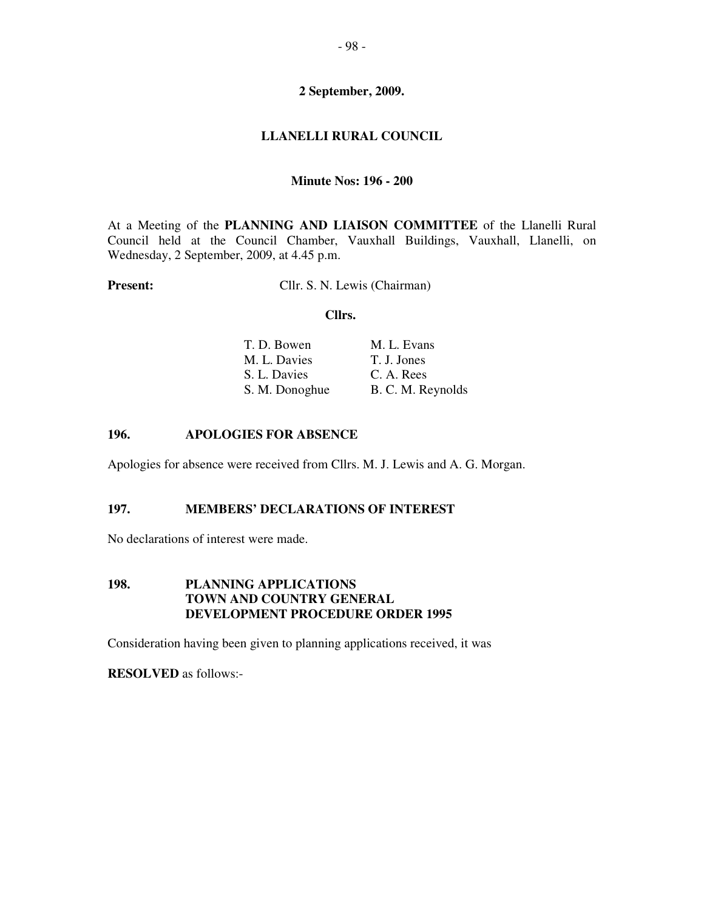# **LLANELLI RURAL COUNCIL**

#### **Minute Nos: 196 - 200**

At a Meeting of the **PLANNING AND LIAISON COMMITTEE** of the Llanelli Rural Council held at the Council Chamber, Vauxhall Buildings, Vauxhall, Llanelli, on Wednesday, 2 September, 2009, at 4.45 p.m.

**Present:** Cllr. S. N. Lewis (Chairman)

#### **Cllrs.**

| M. L. Evans       |
|-------------------|
| T. J. Jones       |
| C. A. Rees        |
| B. C. M. Reynolds |
|                   |

#### **196. APOLOGIES FOR ABSENCE**

Apologies for absence were received from Cllrs. M. J. Lewis and A. G. Morgan.

## **197. MEMBERS' DECLARATIONS OF INTEREST**

No declarations of interest were made.

#### **198. PLANNING APPLICATIONS TOWN AND COUNTRY GENERAL DEVELOPMENT PROCEDURE ORDER 1995**

Consideration having been given to planning applications received, it was

**RESOLVED** as follows:-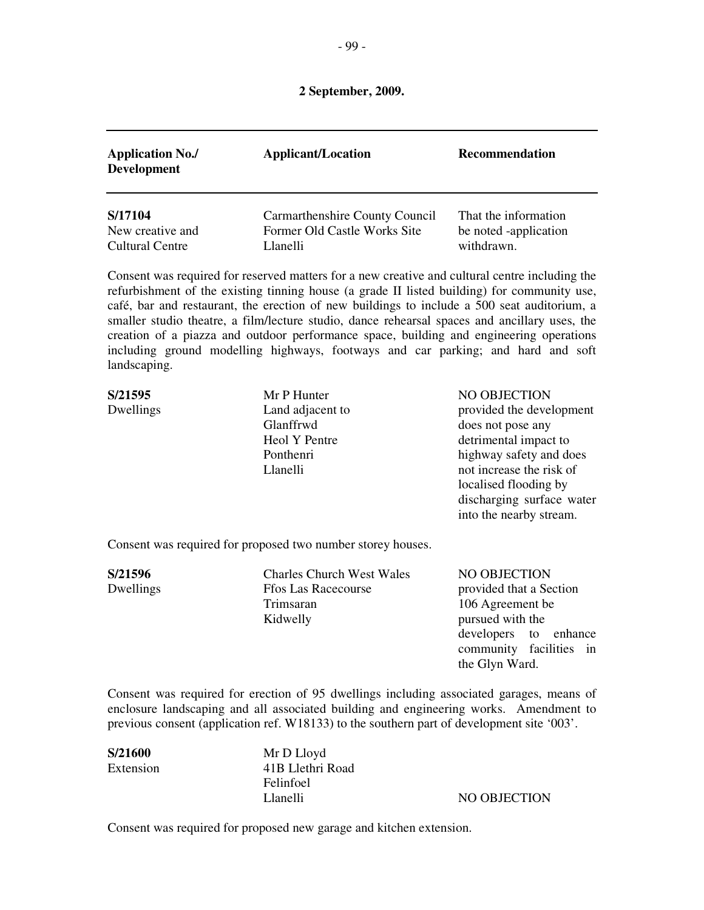| <b>Application No./</b><br><b>Development</b> | <b>Applicant/Location</b>      | <b>Recommendation</b> |
|-----------------------------------------------|--------------------------------|-----------------------|
| S/17104                                       | Carmarthenshire County Council | That the information  |
| New creative and                              | Former Old Castle Works Site   | be noted -application |
| Cultural Centre                               | Llanelli                       | withdrawn.            |

Consent was required for reserved matters for a new creative and cultural centre including the refurbishment of the existing tinning house (a grade II listed building) for community use, café, bar and restaurant, the erection of new buildings to include a 500 seat auditorium, a smaller studio theatre, a film/lecture studio, dance rehearsal spaces and ancillary uses, the creation of a piazza and outdoor performance space, building and engineering operations including ground modelling highways, footways and car parking; and hard and soft landscaping.

| S/21595   | Mr P Hunter                                               | NO OBJECTION              |
|-----------|-----------------------------------------------------------|---------------------------|
| Dwellings | Land adjacent to                                          | provided the development  |
|           | Glanffrwd                                                 | does not pose any         |
|           | Heol Y Pentre                                             | detrimental impact to     |
|           | Ponthenri                                                 | highway safety and does   |
|           | Llanelli                                                  | not increase the risk of  |
|           |                                                           | localised flooding by     |
|           |                                                           | discharging surface water |
|           |                                                           | into the nearby stream.   |
|           |                                                           |                           |
|           | Concent was nominal for numerous two number stores bought |                           |

Consent was required for proposed two number storey houses.

**S/21596** Charles Church West Wales NO OBJECTION Dwellings **Ffos Las Racecourse provided that a Section**  Trimsaran 106 Agreement be Kidwelly pursued with the

 developers to enhance community facilities in the Glyn Ward.

Consent was required for erection of 95 dwellings including associated garages, means of enclosure landscaping and all associated building and engineering works. Amendment to previous consent (application ref. W18133) to the southern part of development site '003'.

**S/21600** Mr D Lloyd Extension 41B Llethri Road Felinfoel

Llanelli NO OBJECTION

Consent was required for proposed new garage and kitchen extension.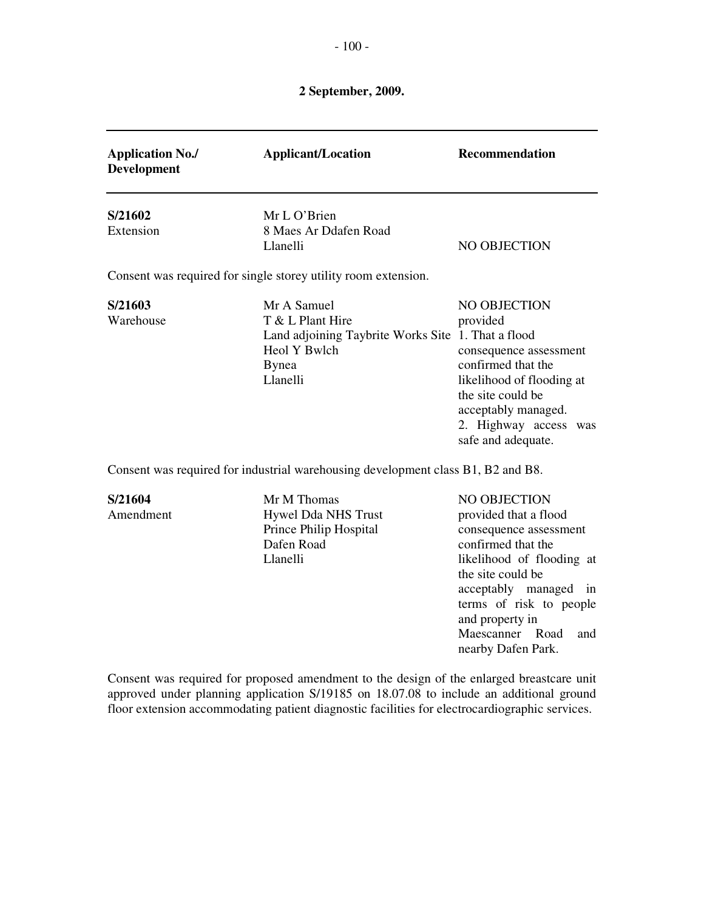| <b>Application No./</b><br><b>Development</b> | <b>Applicant/Location</b>                                                                                                         | <b>Recommendation</b>                                                                                                                                                                                                    |
|-----------------------------------------------|-----------------------------------------------------------------------------------------------------------------------------------|--------------------------------------------------------------------------------------------------------------------------------------------------------------------------------------------------------------------------|
| S/21602<br>Extension                          | Mr L O'Brien<br>8 Maes Ar Ddafen Road<br>Llanelli                                                                                 | NO OBJECTION                                                                                                                                                                                                             |
|                                               | Consent was required for single storey utility room extension.                                                                    |                                                                                                                                                                                                                          |
| S/21603<br>Warehouse                          | Mr A Samuel<br>T & L Plant Hire<br>Land adjoining Taybrite Works Site 1. That a flood<br>Heol Y Bwlch<br><b>Bynea</b><br>Llanelli | NO OBJECTION<br>provided<br>consequence assessment<br>confirmed that the<br>likelihood of flooding at<br>the site could be<br>acceptably managed.<br>2. Highway access was<br>safe and adequate.                         |
|                                               | Consent was required for industrial warehousing development class B1, B2 and B8.                                                  |                                                                                                                                                                                                                          |
| S/21604<br>Amendment                          | Mr M Thomas<br><b>Hywel Dda NHS Trust</b><br>Prince Philip Hospital<br>Dafen Road<br>Llanelli                                     | <b>NO OBJECTION</b><br>provided that a flood<br>consequence assessment<br>confirmed that the<br>likelihood of flooding at<br>the site could be<br>acceptably managed<br>in<br>terms of risk to people<br>and property in |

Consent was required for proposed amendment to the design of the enlarged breastcare unit approved under planning application S/19185 on 18.07.08 to include an additional ground floor extension accommodating patient diagnostic facilities for electrocardiographic services.

Maescanner Road and

nearby Dafen Park.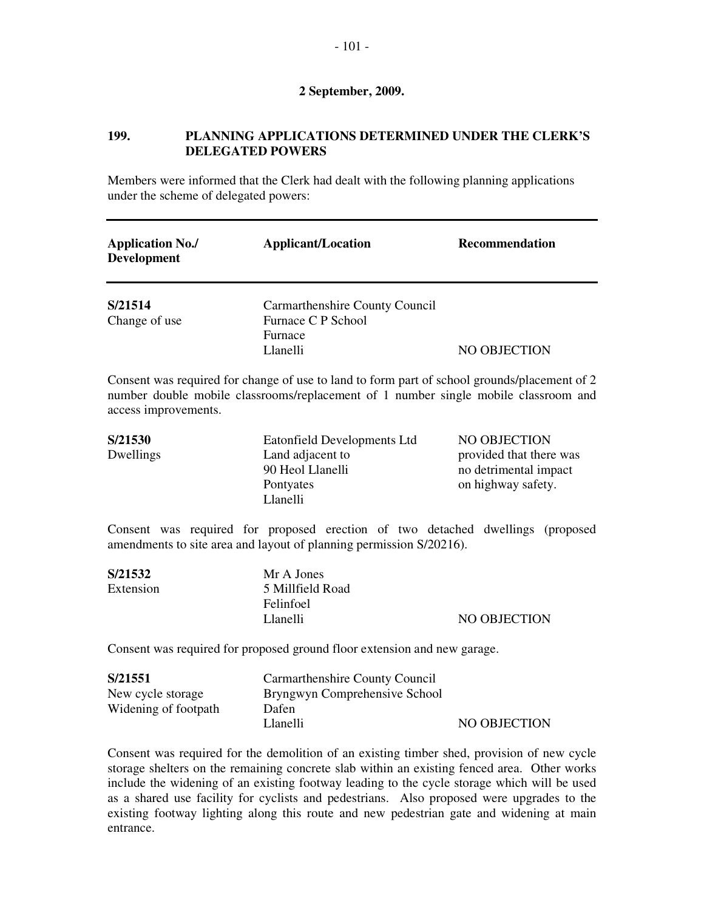# **199. PLANNING APPLICATIONS DETERMINED UNDER THE CLERK'S DELEGATED POWERS**

Members were informed that the Clerk had dealt with the following planning applications under the scheme of delegated powers:

| <b>Application No./</b><br><b>Development</b> | <b>Applicant/Location</b>                                                   | <b>Recommendation</b> |
|-----------------------------------------------|-----------------------------------------------------------------------------|-----------------------|
| S/21514<br>Change of use                      | Carmarthenshire County Council<br>Furnace C P School<br>Furnace<br>Llanelli | NO OBJECTION          |

Consent was required for change of use to land to form part of school grounds/placement of 2 number double mobile classrooms/replacement of 1 number single mobile classroom and access improvements.

| S/21530<br>Dwellings | Eatonfield Developments Ltd<br>Land adjacent to<br>90 Heol Llanelli<br>Pontyates | NO OBJECTION<br>provided that there was<br>no detrimental impact<br>on highway safety. |
|----------------------|----------------------------------------------------------------------------------|----------------------------------------------------------------------------------------|
|                      | Llanelli                                                                         |                                                                                        |

Consent was required for proposed erection of two detached dwellings (proposed amendments to site area and layout of planning permission S/20216).

| Mr A Jones       |              |
|------------------|--------------|
| 5 Millfield Road |              |
| Felinfoel        |              |
| Llanelli         | NO OBJECTION |
|                  |              |

Consent was required for proposed ground floor extension and new garage.

| S/21551              | Carmarthenshire County Council |              |
|----------------------|--------------------------------|--------------|
| New cycle storage    | Bryngwyn Comprehensive School  |              |
| Widening of footpath | Dafen                          |              |
|                      | Llanelli                       | NO OBJECTION |

Consent was required for the demolition of an existing timber shed, provision of new cycle storage shelters on the remaining concrete slab within an existing fenced area. Other works include the widening of an existing footway leading to the cycle storage which will be used as a shared use facility for cyclists and pedestrians. Also proposed were upgrades to the existing footway lighting along this route and new pedestrian gate and widening at main entrance.